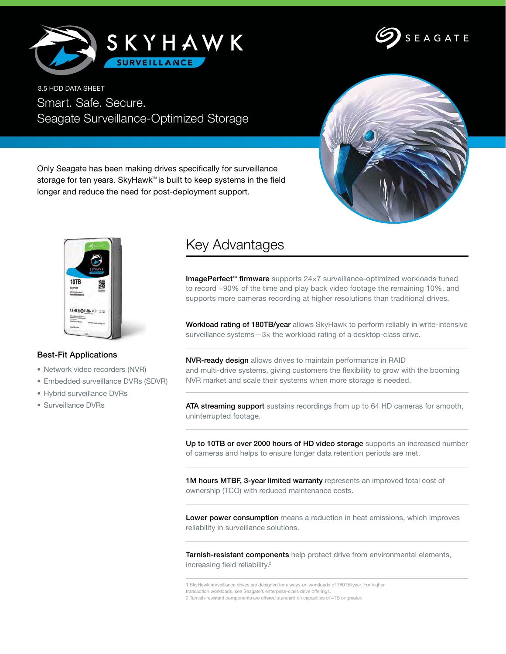



Smart. Safe. Secure. Seagate Surveillance-Optimized Storage 3.5 HDD DATA SHEET



storage for ten years. SkyHawk™ is built to keep systems in the field longer and reduce the need for post-deployment support.

Only Seagate has been making drives specifically for surveillance



## Best-Fit Applications

- Network video recorders (NVR)
- Embedded surveillance DVRs (SDVR)
- Hybrid surveillance DVRs
- Surveillance DVRs

## Key Advantages

ImagePerfect™ firmware supports 24×7 surveillance-optimized workloads tuned to record ~90% of the time and play back video footage the remaining 10%, and supports more cameras recording at higher resolutions than traditional drives.

Workload rating of 180TB/year allows SkyHawk to perform reliably in write-intensive surveillance systems-3x the workload rating of a desktop-class drive.<sup>1</sup>

NVR-ready design allows drives to maintain performance in RAID and multi-drive systems, giving customers the flexibility to grow with the booming NVR market and scale their systems when more storage is needed.

ATA streaming support sustains recordings from up to 64 HD cameras for smooth, uninterrupted footage.

Up to 10TB or over 2000 hours of HD video storage supports an increased number of cameras and helps to ensure longer data retention periods are met.

1M hours MTBF, 3-year limited warranty represents an improved total cost of ownership (TCO) with reduced maintenance costs.

Lower power consumption means a reduction in heat emissions, which improves reliability in surveillance solutions.

Tarnish-resistant components help protect drive from environmental elements, increasing field reliability.2

transaction workloads, see Seagate's enterprise-class drive offerings.

<sup>1</sup> SkyHawk surveillance drives are designed for always-on workloads of 180TB/year. For higher

<sup>2</sup> Tarnish-resistant components are offered standard on capacities of 4TB or greater.